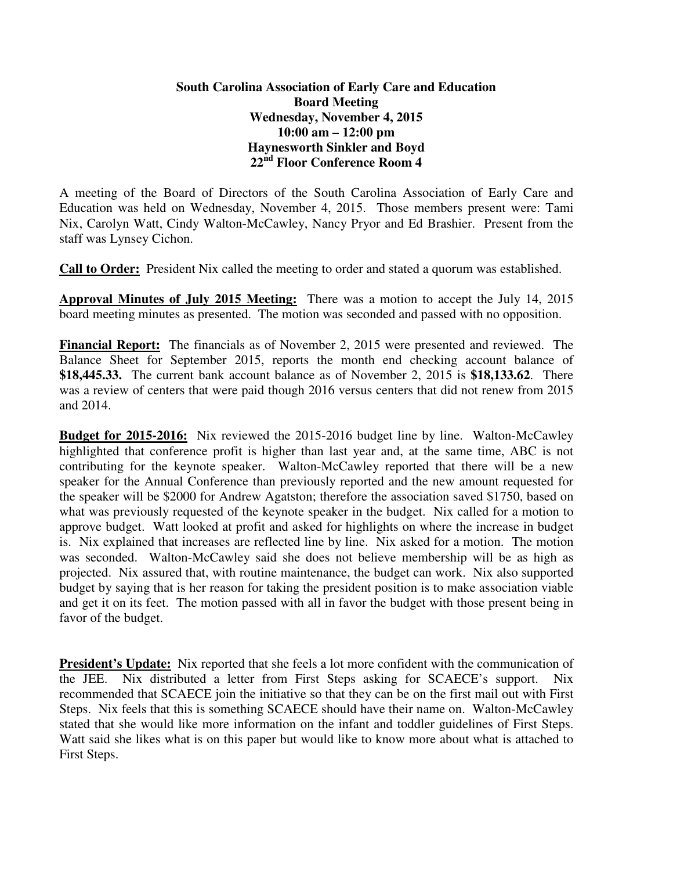## **South Carolina Association of Early Care and Education Board Meeting Wednesday, November 4, 2015 10:00 am – 12:00 pm Haynesworth Sinkler and Boyd 22nd Floor Conference Room 4**

A meeting of the Board of Directors of the South Carolina Association of Early Care and Education was held on Wednesday, November 4, 2015. Those members present were: Tami Nix, Carolyn Watt, Cindy Walton-McCawley, Nancy Pryor and Ed Brashier. Present from the staff was Lynsey Cichon.

**Call to Order:** President Nix called the meeting to order and stated a quorum was established.

**Approval Minutes of July 2015 Meeting:** There was a motion to accept the July 14, 2015 board meeting minutes as presented. The motion was seconded and passed with no opposition.

**Financial Report:** The financials as of November 2, 2015 were presented and reviewed. The Balance Sheet for September 2015, reports the month end checking account balance of **\$18,445.33.** The current bank account balance as of November 2, 2015 is **\$18,133.62**. There was a review of centers that were paid though 2016 versus centers that did not renew from 2015 and 2014.

**Budget for 2015-2016:** Nix reviewed the 2015-2016 budget line by line. Walton-McCawley highlighted that conference profit is higher than last year and, at the same time, ABC is not contributing for the keynote speaker. Walton-McCawley reported that there will be a new speaker for the Annual Conference than previously reported and the new amount requested for the speaker will be \$2000 for Andrew Agatston; therefore the association saved \$1750, based on what was previously requested of the keynote speaker in the budget. Nix called for a motion to approve budget. Watt looked at profit and asked for highlights on where the increase in budget is. Nix explained that increases are reflected line by line. Nix asked for a motion. The motion was seconded. Walton-McCawley said she does not believe membership will be as high as projected. Nix assured that, with routine maintenance, the budget can work. Nix also supported budget by saying that is her reason for taking the president position is to make association viable and get it on its feet. The motion passed with all in favor the budget with those present being in favor of the budget.

**President's Update:** Nix reported that she feels a lot more confident with the communication of the JEE. Nix distributed a letter from First Steps asking for SCAECE's support. Nix recommended that SCAECE join the initiative so that they can be on the first mail out with First Steps. Nix feels that this is something SCAECE should have their name on. Walton-McCawley stated that she would like more information on the infant and toddler guidelines of First Steps. Watt said she likes what is on this paper but would like to know more about what is attached to First Steps.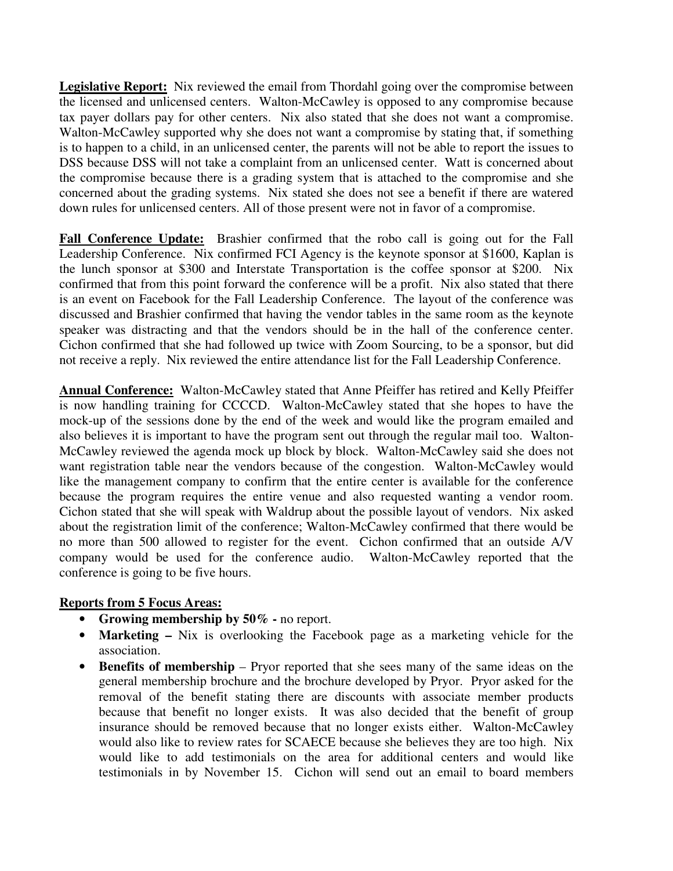Legislative Report: Nix reviewed the email from Thordahl going over the compromise between the licensed and unlicensed centers. Walton-McCawley is opposed to any compromise because tax payer dollars pay for other centers. Nix also stated that she does not want a compromise. Walton-McCawley supported why she does not want a compromise by stating that, if something is to happen to a child, in an unlicensed center, the parents will not be able to report the issues to DSS because DSS will not take a complaint from an unlicensed center. Watt is concerned about the compromise because there is a grading system that is attached to the compromise and she concerned about the grading systems. Nix stated she does not see a benefit if there are watered down rules for unlicensed centers. All of those present were not in favor of a compromise.

**Fall Conference Update:** Brashier confirmed that the robo call is going out for the Fall Leadership Conference. Nix confirmed FCI Agency is the keynote sponsor at \$1600, Kaplan is the lunch sponsor at \$300 and Interstate Transportation is the coffee sponsor at \$200. Nix confirmed that from this point forward the conference will be a profit. Nix also stated that there is an event on Facebook for the Fall Leadership Conference. The layout of the conference was discussed and Brashier confirmed that having the vendor tables in the same room as the keynote speaker was distracting and that the vendors should be in the hall of the conference center. Cichon confirmed that she had followed up twice with Zoom Sourcing, to be a sponsor, but did not receive a reply. Nix reviewed the entire attendance list for the Fall Leadership Conference.

**Annual Conference:** Walton-McCawley stated that Anne Pfeiffer has retired and Kelly Pfeiffer is now handling training for CCCCD. Walton-McCawley stated that she hopes to have the mock-up of the sessions done by the end of the week and would like the program emailed and also believes it is important to have the program sent out through the regular mail too. Walton-McCawley reviewed the agenda mock up block by block. Walton-McCawley said she does not want registration table near the vendors because of the congestion. Walton-McCawley would like the management company to confirm that the entire center is available for the conference because the program requires the entire venue and also requested wanting a vendor room. Cichon stated that she will speak with Waldrup about the possible layout of vendors. Nix asked about the registration limit of the conference; Walton-McCawley confirmed that there would be no more than 500 allowed to register for the event. Cichon confirmed that an outside A/V company would be used for the conference audio. Walton-McCawley reported that the conference is going to be five hours.

## **Reports from 5 Focus Areas:**

- **Growing membership by 50%** no report.
- **Marketing –** Nix is overlooking the Facebook page as a marketing vehicle for the association.
- **Benefits of membership** Pryor reported that she sees many of the same ideas on the general membership brochure and the brochure developed by Pryor. Pryor asked for the removal of the benefit stating there are discounts with associate member products because that benefit no longer exists. It was also decided that the benefit of group insurance should be removed because that no longer exists either. Walton-McCawley would also like to review rates for SCAECE because she believes they are too high. Nix would like to add testimonials on the area for additional centers and would like testimonials in by November 15. Cichon will send out an email to board members